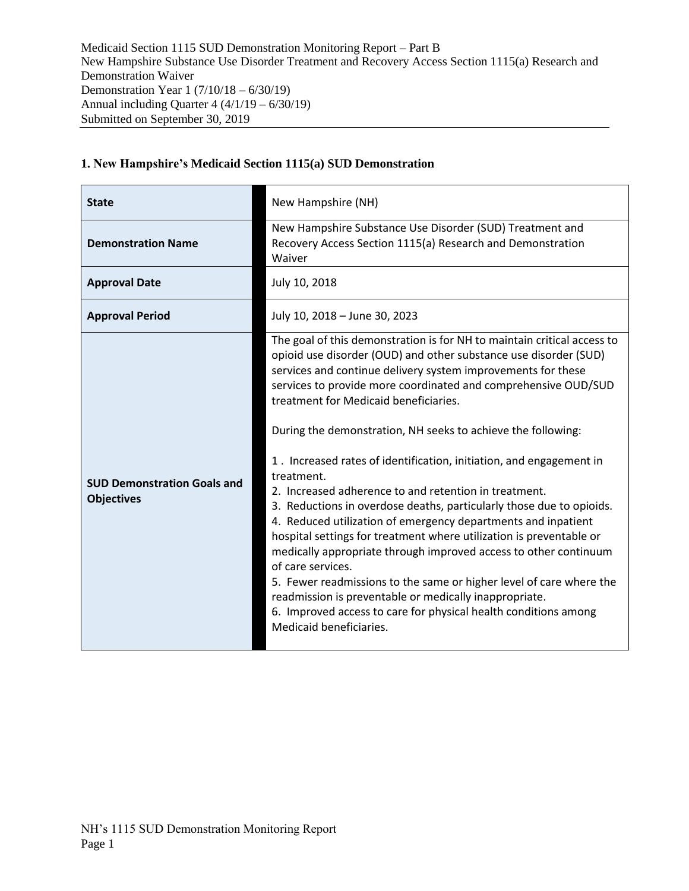| <b>State</b>                                            | New Hampshire (NH)                                                                                                                                                                                                                                                                                                                                                                                                                                                                                                                                                                                                                                                                                                                                                                                                                                                                                                                                                                                                                                                           |
|---------------------------------------------------------|------------------------------------------------------------------------------------------------------------------------------------------------------------------------------------------------------------------------------------------------------------------------------------------------------------------------------------------------------------------------------------------------------------------------------------------------------------------------------------------------------------------------------------------------------------------------------------------------------------------------------------------------------------------------------------------------------------------------------------------------------------------------------------------------------------------------------------------------------------------------------------------------------------------------------------------------------------------------------------------------------------------------------------------------------------------------------|
| <b>Demonstration Name</b>                               | New Hampshire Substance Use Disorder (SUD) Treatment and<br>Recovery Access Section 1115(a) Research and Demonstration<br>Waiver                                                                                                                                                                                                                                                                                                                                                                                                                                                                                                                                                                                                                                                                                                                                                                                                                                                                                                                                             |
| <b>Approval Date</b>                                    | July 10, 2018                                                                                                                                                                                                                                                                                                                                                                                                                                                                                                                                                                                                                                                                                                                                                                                                                                                                                                                                                                                                                                                                |
| <b>Approval Period</b>                                  | July 10, 2018 - June 30, 2023                                                                                                                                                                                                                                                                                                                                                                                                                                                                                                                                                                                                                                                                                                                                                                                                                                                                                                                                                                                                                                                |
| <b>SUD Demonstration Goals and</b><br><b>Objectives</b> | The goal of this demonstration is for NH to maintain critical access to<br>opioid use disorder (OUD) and other substance use disorder (SUD)<br>services and continue delivery system improvements for these<br>services to provide more coordinated and comprehensive OUD/SUD<br>treatment for Medicaid beneficiaries.<br>During the demonstration, NH seeks to achieve the following:<br>1. Increased rates of identification, initiation, and engagement in<br>treatment.<br>2. Increased adherence to and retention in treatment.<br>3. Reductions in overdose deaths, particularly those due to opioids.<br>4. Reduced utilization of emergency departments and inpatient<br>hospital settings for treatment where utilization is preventable or<br>medically appropriate through improved access to other continuum<br>of care services.<br>5. Fewer readmissions to the same or higher level of care where the<br>readmission is preventable or medically inappropriate.<br>6. Improved access to care for physical health conditions among<br>Medicaid beneficiaries. |

# **1. New Hampshire's Medicaid Section 1115(a) SUD Demonstration**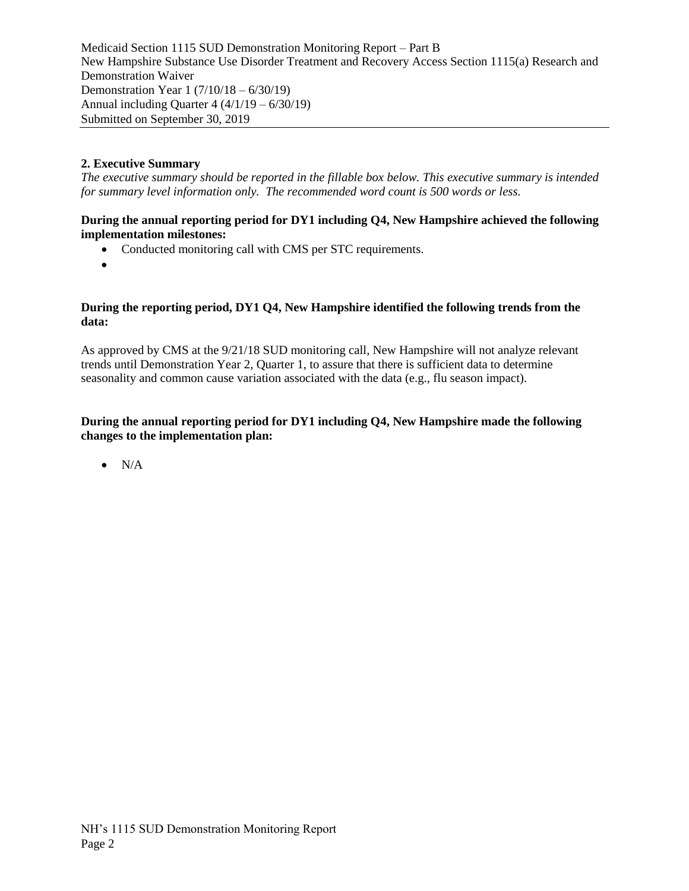# **2. Executive Summary**

*The executive summary should be reported in the fillable box below. This executive summary is intended for summary level information only. The recommended word count is 500 words or less.*

#### **During the annual reporting period for DY1 including Q4, New Hampshire achieved the following implementation milestones:**

- Conducted monitoring call with CMS per STC requirements.
- $\bullet$

#### **During the reporting period, DY1 Q4, New Hampshire identified the following trends from the data:**

As approved by CMS at the 9/21/18 SUD monitoring call, New Hampshire will not analyze relevant trends until Demonstration Year 2, Quarter 1, to assure that there is sufficient data to determine seasonality and common cause variation associated with the data (e.g., flu season impact).

### **During the annual reporting period for DY1 including Q4, New Hampshire made the following changes to the implementation plan:**

 $\bullet$  N/A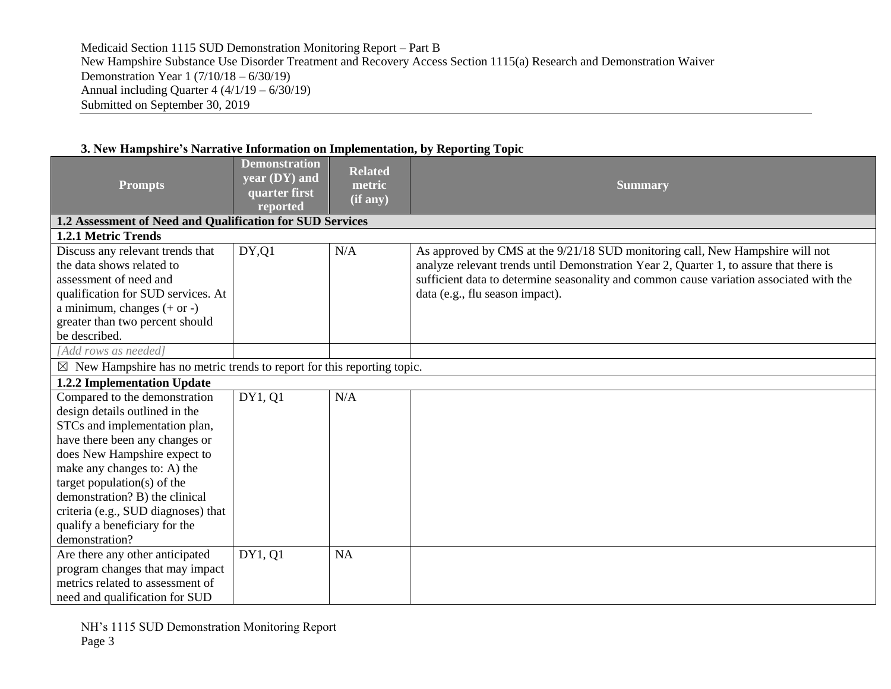| <b>Prompts</b>                                                                     | <b>Demonstration</b><br>year (DY) and<br>quarter first<br>reported | <b>Related</b><br>metric<br>(if any) | <b>Summary</b>                                                                          |
|------------------------------------------------------------------------------------|--------------------------------------------------------------------|--------------------------------------|-----------------------------------------------------------------------------------------|
| 1.2 Assessment of Need and Qualification for SUD Services                          |                                                                    |                                      |                                                                                         |
| 1.2.1 Metric Trends                                                                |                                                                    |                                      |                                                                                         |
| Discuss any relevant trends that                                                   | DY, Q1                                                             | N/A                                  | As approved by CMS at the 9/21/18 SUD monitoring call, New Hampshire will not           |
| the data shows related to                                                          |                                                                    |                                      | analyze relevant trends until Demonstration Year 2, Quarter 1, to assure that there is  |
| assessment of need and                                                             |                                                                    |                                      | sufficient data to determine seasonality and common cause variation associated with the |
| qualification for SUD services. At                                                 |                                                                    |                                      | data (e.g., flu season impact).                                                         |
| a minimum, changes $(+ or -)$                                                      |                                                                    |                                      |                                                                                         |
| greater than two percent should                                                    |                                                                    |                                      |                                                                                         |
| be described.                                                                      |                                                                    |                                      |                                                                                         |
| [Add rows as needed]                                                               |                                                                    |                                      |                                                                                         |
| $\boxtimes$ New Hampshire has no metric trends to report for this reporting topic. |                                                                    |                                      |                                                                                         |
| 1.2.2 Implementation Update                                                        |                                                                    |                                      |                                                                                         |
| Compared to the demonstration                                                      | DY1, Q1                                                            | N/A                                  |                                                                                         |
| design details outlined in the                                                     |                                                                    |                                      |                                                                                         |
| STCs and implementation plan,                                                      |                                                                    |                                      |                                                                                         |
| have there been any changes or                                                     |                                                                    |                                      |                                                                                         |
| does New Hampshire expect to                                                       |                                                                    |                                      |                                                                                         |
| make any changes to: A) the                                                        |                                                                    |                                      |                                                                                         |
| target population( $s$ ) of the                                                    |                                                                    |                                      |                                                                                         |
| demonstration? B) the clinical                                                     |                                                                    |                                      |                                                                                         |
| criteria (e.g., SUD diagnoses) that                                                |                                                                    |                                      |                                                                                         |
| qualify a beneficiary for the                                                      |                                                                    |                                      |                                                                                         |
| demonstration?                                                                     |                                                                    |                                      |                                                                                         |
| Are there any other anticipated                                                    | DY1, Q1                                                            | <b>NA</b>                            |                                                                                         |
| program changes that may impact                                                    |                                                                    |                                      |                                                                                         |
| metrics related to assessment of                                                   |                                                                    |                                      |                                                                                         |
| need and qualification for SUD                                                     |                                                                    |                                      |                                                                                         |

### **3. New Hampshire's Narrative Information on Implementation, by Reporting Topic**

NH's 1115 SUD Demonstration Monitoring Report Page 3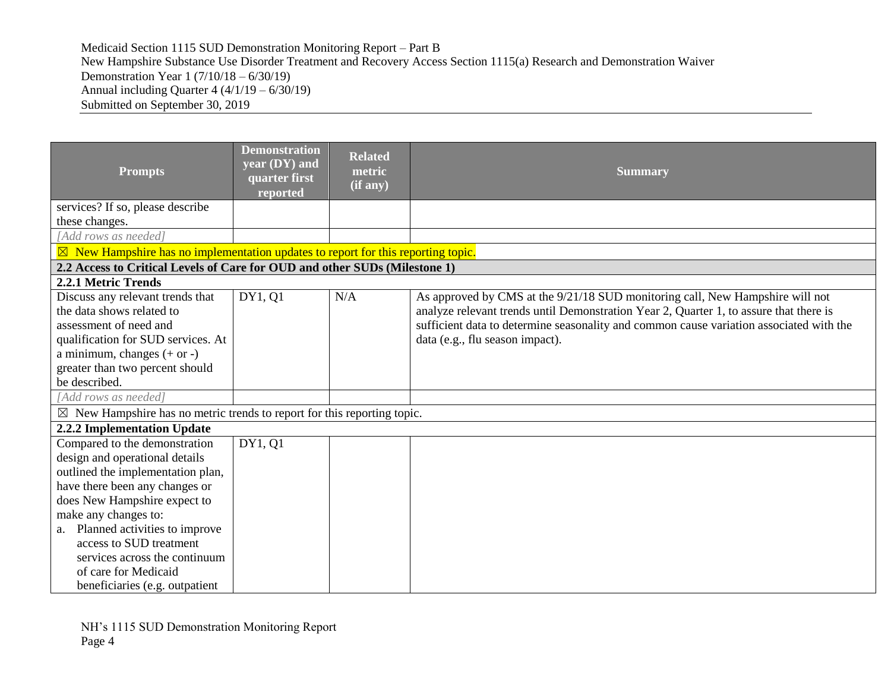| <b>Prompts</b>                                                                              | <b>Demonstration</b><br>year (DY) and<br>quarter first<br>reported | <b>Related</b><br>metric<br>(if any) | <b>Summary</b>                                                                          |  |  |
|---------------------------------------------------------------------------------------------|--------------------------------------------------------------------|--------------------------------------|-----------------------------------------------------------------------------------------|--|--|
| services? If so, please describe                                                            |                                                                    |                                      |                                                                                         |  |  |
| these changes.                                                                              |                                                                    |                                      |                                                                                         |  |  |
| [Add rows as needed]                                                                        |                                                                    |                                      |                                                                                         |  |  |
| $\boxtimes$ New Hampshire has no implementation updates to report for this reporting topic. |                                                                    |                                      |                                                                                         |  |  |
| 2.2 Access to Critical Levels of Care for OUD and other SUDs (Milestone 1)                  |                                                                    |                                      |                                                                                         |  |  |
| 2.2.1 Metric Trends                                                                         |                                                                    |                                      |                                                                                         |  |  |
| Discuss any relevant trends that                                                            | DY1, Q1                                                            | N/A                                  | As approved by CMS at the 9/21/18 SUD monitoring call, New Hampshire will not           |  |  |
| the data shows related to                                                                   |                                                                    |                                      | analyze relevant trends until Demonstration Year 2, Quarter 1, to assure that there is  |  |  |
| assessment of need and                                                                      |                                                                    |                                      | sufficient data to determine seasonality and common cause variation associated with the |  |  |
| qualification for SUD services. At                                                          |                                                                    |                                      | data (e.g., flu season impact).                                                         |  |  |
| a minimum, changes $(+ or -)$                                                               |                                                                    |                                      |                                                                                         |  |  |
| greater than two percent should                                                             |                                                                    |                                      |                                                                                         |  |  |
| be described.                                                                               |                                                                    |                                      |                                                                                         |  |  |
| [Add rows as needed]                                                                        |                                                                    |                                      |                                                                                         |  |  |
| $\boxtimes$ New Hampshire has no metric trends to report for this reporting topic.          |                                                                    |                                      |                                                                                         |  |  |
| 2.2.2 Implementation Update                                                                 |                                                                    |                                      |                                                                                         |  |  |
| Compared to the demonstration                                                               | DY1, Q1                                                            |                                      |                                                                                         |  |  |
| design and operational details                                                              |                                                                    |                                      |                                                                                         |  |  |
| outlined the implementation plan,                                                           |                                                                    |                                      |                                                                                         |  |  |
| have there been any changes or                                                              |                                                                    |                                      |                                                                                         |  |  |
| does New Hampshire expect to                                                                |                                                                    |                                      |                                                                                         |  |  |
| make any changes to:                                                                        |                                                                    |                                      |                                                                                         |  |  |
| Planned activities to improve                                                               |                                                                    |                                      |                                                                                         |  |  |
| access to SUD treatment                                                                     |                                                                    |                                      |                                                                                         |  |  |
| services across the continuum                                                               |                                                                    |                                      |                                                                                         |  |  |
| of care for Medicaid                                                                        |                                                                    |                                      |                                                                                         |  |  |
| beneficiaries (e.g. outpatient                                                              |                                                                    |                                      |                                                                                         |  |  |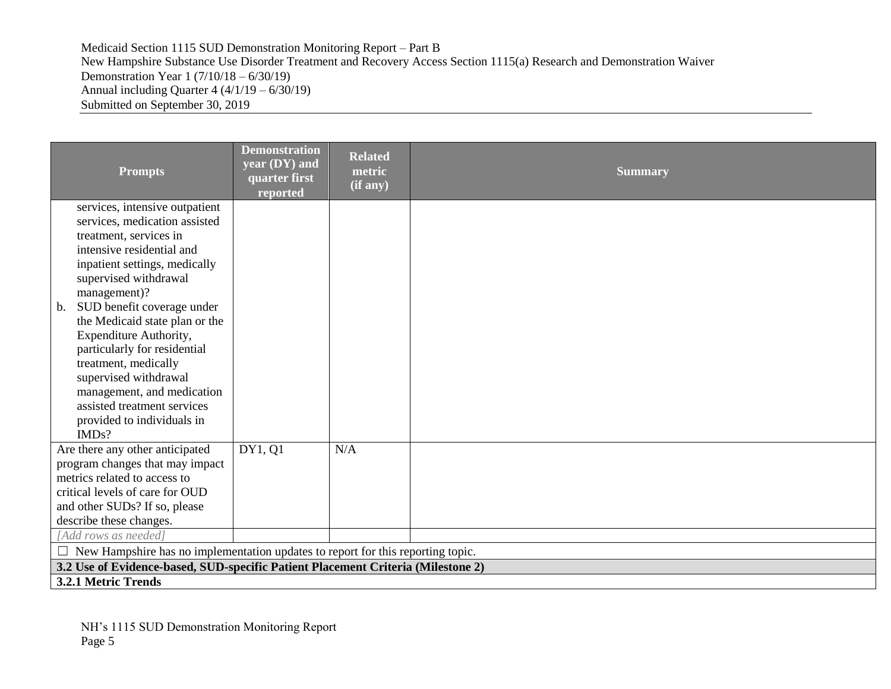| <b>Prompts</b>                                                                                                                                                                                                                                                                                                                                                                                                                                                                                    | <b>Demonstration</b><br>year (DY) and<br>quarter first<br>reported | <b>Related</b><br>metric<br>(if any) | <b>Summary</b> |  |
|---------------------------------------------------------------------------------------------------------------------------------------------------------------------------------------------------------------------------------------------------------------------------------------------------------------------------------------------------------------------------------------------------------------------------------------------------------------------------------------------------|--------------------------------------------------------------------|--------------------------------------|----------------|--|
| services, intensive outpatient<br>services, medication assisted<br>treatment, services in<br>intensive residential and<br>inpatient settings, medically<br>supervised withdrawal<br>management)?<br>SUD benefit coverage under<br>$\mathbf{b}$ .<br>the Medicaid state plan or the<br>Expenditure Authority,<br>particularly for residential<br>treatment, medically<br>supervised withdrawal<br>management, and medication<br>assisted treatment services<br>provided to individuals in<br>IMDs? |                                                                    |                                      |                |  |
| Are there any other anticipated<br>program changes that may impact<br>metrics related to access to<br>critical levels of care for OUD<br>and other SUDs? If so, please<br>describe these changes.                                                                                                                                                                                                                                                                                                 | DY1, Q1                                                            | N/A                                  |                |  |
| [Add rows as needed]                                                                                                                                                                                                                                                                                                                                                                                                                                                                              |                                                                    |                                      |                |  |
| $\Box$ New Hampshire has no implementation updates to report for this reporting topic.                                                                                                                                                                                                                                                                                                                                                                                                            |                                                                    |                                      |                |  |
| 3.2 Use of Evidence-based, SUD-specific Patient Placement Criteria (Milestone 2)                                                                                                                                                                                                                                                                                                                                                                                                                  |                                                                    |                                      |                |  |
| 3.2.1 Metric Trends                                                                                                                                                                                                                                                                                                                                                                                                                                                                               |                                                                    |                                      |                |  |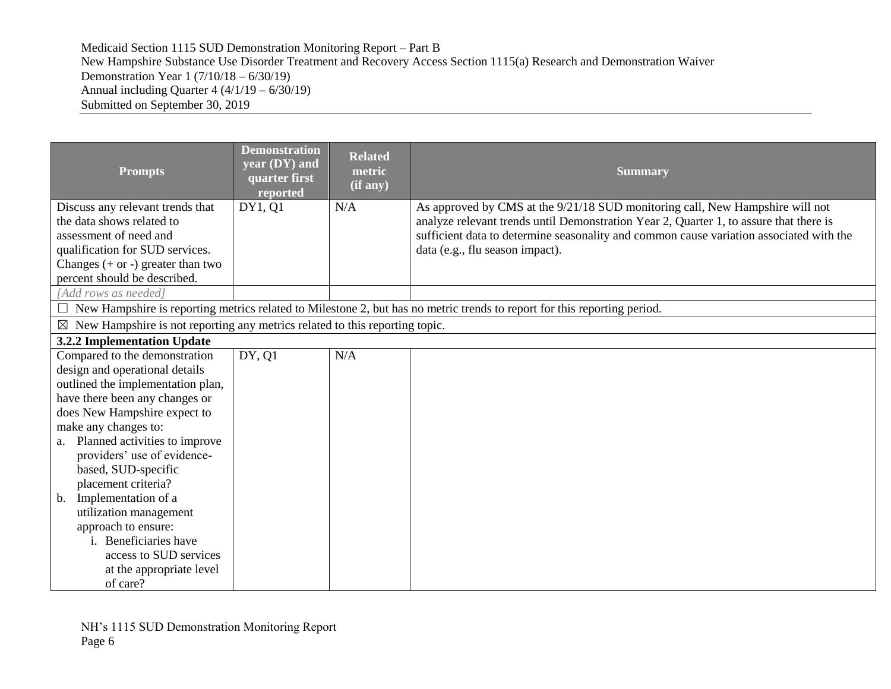| <b>Prompts</b>                                                                          | <b>Demonstration</b><br>year (DY) and<br>quarter first<br>reported | <b>Related</b><br>metric<br>(if any) | <b>Summary</b>                                                                                                                                                          |
|-----------------------------------------------------------------------------------------|--------------------------------------------------------------------|--------------------------------------|-------------------------------------------------------------------------------------------------------------------------------------------------------------------------|
| Discuss any relevant trends that<br>the data shows related to                           | DY1, 01                                                            | N/A                                  | As approved by CMS at the 9/21/18 SUD monitoring call, New Hampshire will not<br>analyze relevant trends until Demonstration Year 2, Quarter 1, to assure that there is |
| assessment of need and                                                                  |                                                                    |                                      | sufficient data to determine seasonality and common cause variation associated with the                                                                                 |
| qualification for SUD services.                                                         |                                                                    |                                      | data (e.g., flu season impact).                                                                                                                                         |
| Changes $(+ or -)$ greater than two                                                     |                                                                    |                                      |                                                                                                                                                                         |
| percent should be described.                                                            |                                                                    |                                      |                                                                                                                                                                         |
| [Add rows as needed]                                                                    |                                                                    |                                      |                                                                                                                                                                         |
| Ш                                                                                       |                                                                    |                                      | New Hampshire is reporting metrics related to Milestone 2, but has no metric trends to report for this reporting period.                                                |
| $\boxtimes$ New Hampshire is not reporting any metrics related to this reporting topic. |                                                                    |                                      |                                                                                                                                                                         |
| 3.2.2 Implementation Update                                                             |                                                                    |                                      |                                                                                                                                                                         |
| Compared to the demonstration                                                           | DY, Q1                                                             | N/A                                  |                                                                                                                                                                         |
| design and operational details                                                          |                                                                    |                                      |                                                                                                                                                                         |
| outlined the implementation plan,                                                       |                                                                    |                                      |                                                                                                                                                                         |
| have there been any changes or                                                          |                                                                    |                                      |                                                                                                                                                                         |
| does New Hampshire expect to                                                            |                                                                    |                                      |                                                                                                                                                                         |
| make any changes to:                                                                    |                                                                    |                                      |                                                                                                                                                                         |
| Planned activities to improve<br>a.                                                     |                                                                    |                                      |                                                                                                                                                                         |
| providers' use of evidence-                                                             |                                                                    |                                      |                                                                                                                                                                         |
| based, SUD-specific                                                                     |                                                                    |                                      |                                                                                                                                                                         |
| placement criteria?                                                                     |                                                                    |                                      |                                                                                                                                                                         |
| Implementation of a<br>b.                                                               |                                                                    |                                      |                                                                                                                                                                         |
| utilization management<br>approach to ensure:                                           |                                                                    |                                      |                                                                                                                                                                         |
| i. Beneficiaries have                                                                   |                                                                    |                                      |                                                                                                                                                                         |
| access to SUD services                                                                  |                                                                    |                                      |                                                                                                                                                                         |
| at the appropriate level                                                                |                                                                    |                                      |                                                                                                                                                                         |
| of care?                                                                                |                                                                    |                                      |                                                                                                                                                                         |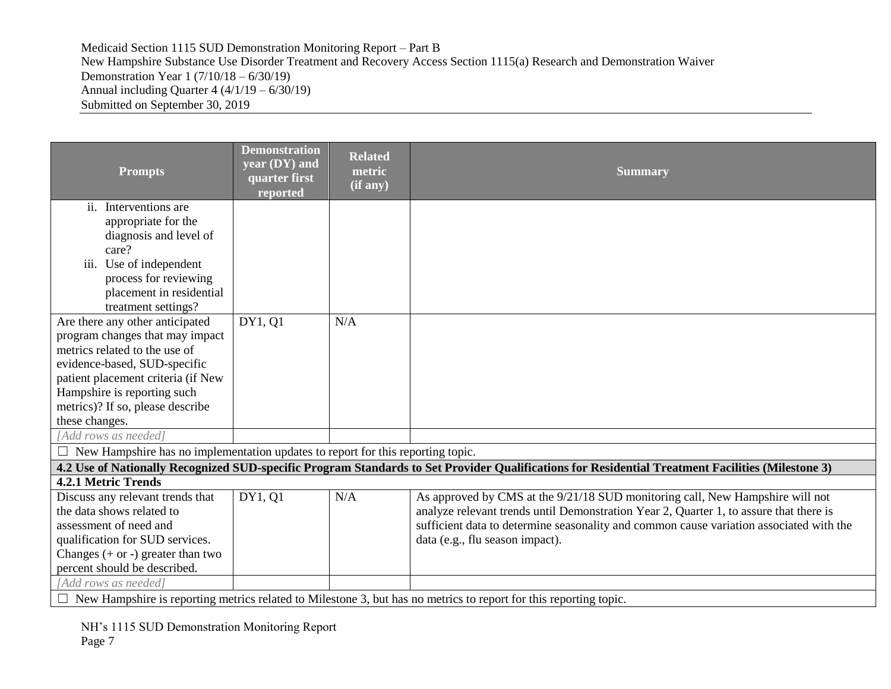| <b>Prompts</b>                                                                                                                                                                                                                                                 | <b>Demonstration</b><br>year (DY) and<br>quarter first<br>reported | <b>Related</b><br>metric<br>(if any) | <b>Summary</b>                                                                                                                                                                                                                                                                                        |
|----------------------------------------------------------------------------------------------------------------------------------------------------------------------------------------------------------------------------------------------------------------|--------------------------------------------------------------------|--------------------------------------|-------------------------------------------------------------------------------------------------------------------------------------------------------------------------------------------------------------------------------------------------------------------------------------------------------|
| ii. Interventions are<br>appropriate for the<br>diagnosis and level of<br>care?<br>iii. Use of independent<br>process for reviewing<br>placement in residential<br>treatment settings?                                                                         |                                                                    |                                      |                                                                                                                                                                                                                                                                                                       |
| Are there any other anticipated<br>program changes that may impact<br>metrics related to the use of<br>evidence-based, SUD-specific<br>patient placement criteria (if New<br>Hampshire is reporting such<br>metrics)? If so, please describe<br>these changes. | DY1, Q1                                                            | N/A                                  |                                                                                                                                                                                                                                                                                                       |
| [Add rows as needed]                                                                                                                                                                                                                                           |                                                                    |                                      |                                                                                                                                                                                                                                                                                                       |
| $\Box$ New Hampshire has no implementation updates to report for this reporting topic.                                                                                                                                                                         |                                                                    |                                      |                                                                                                                                                                                                                                                                                                       |
| 4.2.1 Metric Trends                                                                                                                                                                                                                                            |                                                                    |                                      | 4.2 Use of Nationally Recognized SUD-specific Program Standards to Set Provider Qualifications for Residential Treatment Facilities (Milestone 3)                                                                                                                                                     |
| Discuss any relevant trends that<br>the data shows related to<br>assessment of need and<br>qualification for SUD services.<br>Changes $(+ or -)$ greater than two<br>percent should be described.                                                              | DY1, Q1                                                            | N/A                                  | As approved by CMS at the 9/21/18 SUD monitoring call, New Hampshire will not<br>analyze relevant trends until Demonstration Year 2, Quarter 1, to assure that there is<br>sufficient data to determine seasonality and common cause variation associated with the<br>data (e.g., flu season impact). |
| [Add rows as needed]                                                                                                                                                                                                                                           |                                                                    |                                      | $\Box$ New Hampshire is reporting metrics related to Milestone 3, but has no metrics to report for this reporting topic.                                                                                                                                                                              |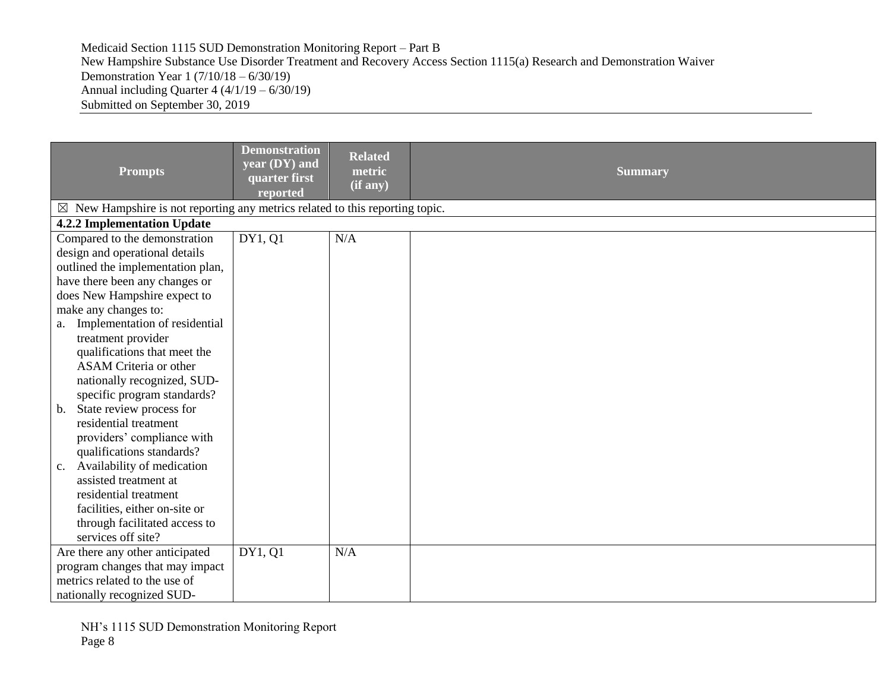| <b>Prompts</b>                                                                          | <b>Demonstration</b><br>year (DY) and<br>quarter first<br>reported | <b>Related</b><br>metric<br>(i f a ny) | <b>Summary</b> |
|-----------------------------------------------------------------------------------------|--------------------------------------------------------------------|----------------------------------------|----------------|
| $\boxtimes$ New Hampshire is not reporting any metrics related to this reporting topic. |                                                                    |                                        |                |
| 4.2.2 Implementation Update                                                             |                                                                    |                                        |                |
| Compared to the demonstration                                                           | DY1, Q1                                                            | N/A                                    |                |
| design and operational details                                                          |                                                                    |                                        |                |
| outlined the implementation plan,                                                       |                                                                    |                                        |                |
| have there been any changes or                                                          |                                                                    |                                        |                |
| does New Hampshire expect to                                                            |                                                                    |                                        |                |
| make any changes to:                                                                    |                                                                    |                                        |                |
| a. Implementation of residential                                                        |                                                                    |                                        |                |
| treatment provider                                                                      |                                                                    |                                        |                |
| qualifications that meet the                                                            |                                                                    |                                        |                |
| <b>ASAM Criteria or other</b>                                                           |                                                                    |                                        |                |
| nationally recognized, SUD-                                                             |                                                                    |                                        |                |
| specific program standards?                                                             |                                                                    |                                        |                |
| b. State review process for                                                             |                                                                    |                                        |                |
| residential treatment                                                                   |                                                                    |                                        |                |
| providers' compliance with                                                              |                                                                    |                                        |                |
| qualifications standards?                                                               |                                                                    |                                        |                |
| c. Availability of medication                                                           |                                                                    |                                        |                |
| assisted treatment at                                                                   |                                                                    |                                        |                |
| residential treatment                                                                   |                                                                    |                                        |                |
| facilities, either on-site or                                                           |                                                                    |                                        |                |
| through facilitated access to                                                           |                                                                    |                                        |                |
| services off site?                                                                      |                                                                    |                                        |                |
| Are there any other anticipated                                                         | DY1, Q1                                                            | N/A                                    |                |
| program changes that may impact                                                         |                                                                    |                                        |                |
| metrics related to the use of                                                           |                                                                    |                                        |                |
| nationally recognized SUD-                                                              |                                                                    |                                        |                |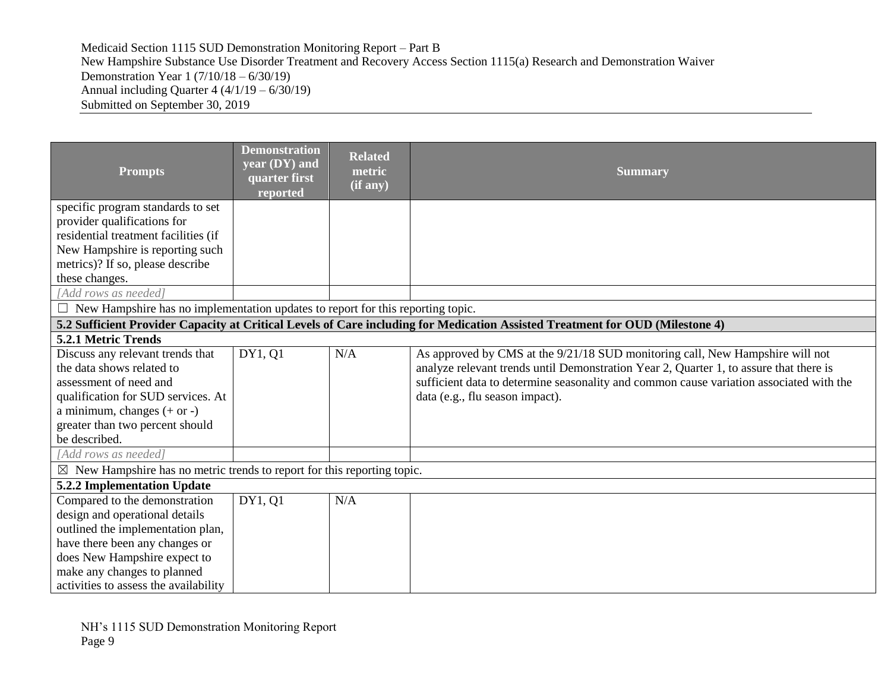| <b>Prompts</b>                                                                         | <b>Demonstration</b><br>year (DY) and<br>quarter first<br>reported | <b>Related</b><br>metric<br>(if any) | <b>Summary</b>                                                                                                                |
|----------------------------------------------------------------------------------------|--------------------------------------------------------------------|--------------------------------------|-------------------------------------------------------------------------------------------------------------------------------|
| specific program standards to set                                                      |                                                                    |                                      |                                                                                                                               |
| provider qualifications for                                                            |                                                                    |                                      |                                                                                                                               |
| residential treatment facilities (if                                                   |                                                                    |                                      |                                                                                                                               |
| New Hampshire is reporting such                                                        |                                                                    |                                      |                                                                                                                               |
| metrics)? If so, please describe                                                       |                                                                    |                                      |                                                                                                                               |
| these changes.                                                                         |                                                                    |                                      |                                                                                                                               |
| [Add rows as needed]                                                                   |                                                                    |                                      |                                                                                                                               |
| $\Box$ New Hampshire has no implementation updates to report for this reporting topic. |                                                                    |                                      |                                                                                                                               |
|                                                                                        |                                                                    |                                      | 5.2 Sufficient Provider Capacity at Critical Levels of Care including for Medication Assisted Treatment for OUD (Milestone 4) |
| 5.2.1 Metric Trends                                                                    |                                                                    |                                      |                                                                                                                               |
| Discuss any relevant trends that                                                       | DY1, Q1                                                            | N/A                                  | As approved by CMS at the 9/21/18 SUD monitoring call, New Hampshire will not                                                 |
| the data shows related to                                                              |                                                                    |                                      | analyze relevant trends until Demonstration Year 2, Quarter 1, to assure that there is                                        |
| assessment of need and                                                                 |                                                                    |                                      | sufficient data to determine seasonality and common cause variation associated with the                                       |
| qualification for SUD services. At                                                     |                                                                    |                                      | data (e.g., flu season impact).                                                                                               |
| a minimum, changes $(+ or -)$                                                          |                                                                    |                                      |                                                                                                                               |
| greater than two percent should                                                        |                                                                    |                                      |                                                                                                                               |
| be described.                                                                          |                                                                    |                                      |                                                                                                                               |
| [Add rows as needed]                                                                   |                                                                    |                                      |                                                                                                                               |
| $\boxtimes$ New Hampshire has no metric trends to report for this reporting topic.     |                                                                    |                                      |                                                                                                                               |
| 5.2.2 Implementation Update                                                            |                                                                    |                                      |                                                                                                                               |
| Compared to the demonstration                                                          | DY1, Q1                                                            | N/A                                  |                                                                                                                               |
| design and operational details                                                         |                                                                    |                                      |                                                                                                                               |
| outlined the implementation plan,                                                      |                                                                    |                                      |                                                                                                                               |
| have there been any changes or                                                         |                                                                    |                                      |                                                                                                                               |
| does New Hampshire expect to                                                           |                                                                    |                                      |                                                                                                                               |
| make any changes to planned                                                            |                                                                    |                                      |                                                                                                                               |
| activities to assess the availability                                                  |                                                                    |                                      |                                                                                                                               |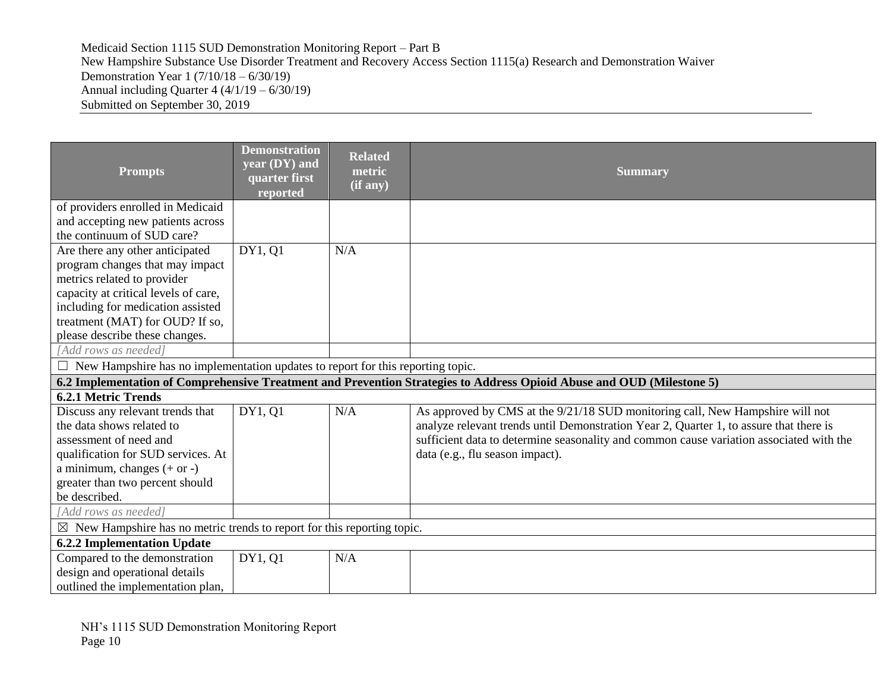| <b>Prompts</b>                                                                                                        | <b>Demonstration</b><br>year (DY) and<br>quarter first<br>reported | <b>Related</b><br>metric<br>(if any) | <b>Summary</b>                                                                          |  |  |
|-----------------------------------------------------------------------------------------------------------------------|--------------------------------------------------------------------|--------------------------------------|-----------------------------------------------------------------------------------------|--|--|
| of providers enrolled in Medicaid                                                                                     |                                                                    |                                      |                                                                                         |  |  |
| and accepting new patients across<br>the continuum of SUD care?                                                       |                                                                    |                                      |                                                                                         |  |  |
|                                                                                                                       |                                                                    |                                      |                                                                                         |  |  |
| Are there any other anticipated                                                                                       | DY1, Q1                                                            | N/A                                  |                                                                                         |  |  |
| program changes that may impact                                                                                       |                                                                    |                                      |                                                                                         |  |  |
| metrics related to provider                                                                                           |                                                                    |                                      |                                                                                         |  |  |
| capacity at critical levels of care,<br>including for medication assisted                                             |                                                                    |                                      |                                                                                         |  |  |
| treatment (MAT) for OUD? If so,                                                                                       |                                                                    |                                      |                                                                                         |  |  |
| please describe these changes.                                                                                        |                                                                    |                                      |                                                                                         |  |  |
| [Add rows as needed]                                                                                                  |                                                                    |                                      |                                                                                         |  |  |
| $\Box$ New Hampshire has no implementation updates to report for this reporting topic.                                |                                                                    |                                      |                                                                                         |  |  |
| 6.2 Implementation of Comprehensive Treatment and Prevention Strategies to Address Opioid Abuse and OUD (Milestone 5) |                                                                    |                                      |                                                                                         |  |  |
| <b>6.2.1 Metric Trends</b>                                                                                            |                                                                    |                                      |                                                                                         |  |  |
| Discuss any relevant trends that                                                                                      | DY1, 01                                                            | N/A                                  | As approved by CMS at the 9/21/18 SUD monitoring call, New Hampshire will not           |  |  |
| the data shows related to                                                                                             |                                                                    |                                      | analyze relevant trends until Demonstration Year 2, Quarter 1, to assure that there is  |  |  |
| assessment of need and                                                                                                |                                                                    |                                      | sufficient data to determine seasonality and common cause variation associated with the |  |  |
| qualification for SUD services. At                                                                                    |                                                                    |                                      | data (e.g., flu season impact).                                                         |  |  |
| a minimum, changes $(+ or -)$                                                                                         |                                                                    |                                      |                                                                                         |  |  |
| greater than two percent should                                                                                       |                                                                    |                                      |                                                                                         |  |  |
| be described.                                                                                                         |                                                                    |                                      |                                                                                         |  |  |
| [Add rows as needed]                                                                                                  |                                                                    |                                      |                                                                                         |  |  |
| $\boxtimes$ New Hampshire has no metric trends to report for this reporting topic.                                    |                                                                    |                                      |                                                                                         |  |  |
| <b>6.2.2 Implementation Update</b>                                                                                    |                                                                    |                                      |                                                                                         |  |  |
| Compared to the demonstration                                                                                         | DY1, Q1                                                            | N/A                                  |                                                                                         |  |  |
| design and operational details                                                                                        |                                                                    |                                      |                                                                                         |  |  |
| outlined the implementation plan,                                                                                     |                                                                    |                                      |                                                                                         |  |  |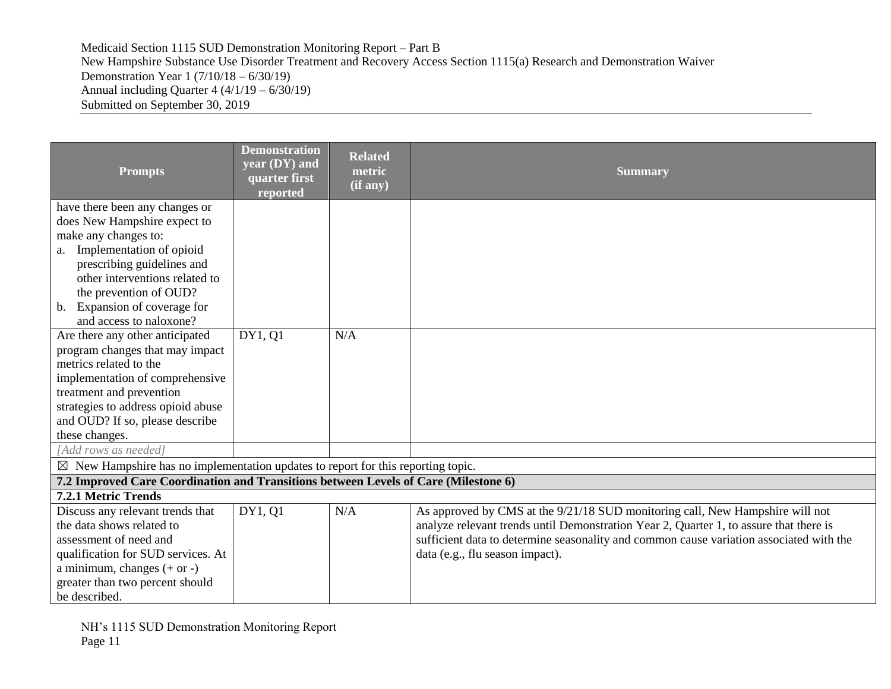| <b>Prompts</b>                                                                              | <b>Demonstration</b><br>year (DY) and<br>quarter first<br>reported | <b>Related</b><br>metric<br>(if any) | <b>Summary</b>                                                                          |
|---------------------------------------------------------------------------------------------|--------------------------------------------------------------------|--------------------------------------|-----------------------------------------------------------------------------------------|
| have there been any changes or<br>does New Hampshire expect to                              |                                                                    |                                      |                                                                                         |
| make any changes to:                                                                        |                                                                    |                                      |                                                                                         |
| a. Implementation of opioid                                                                 |                                                                    |                                      |                                                                                         |
| prescribing guidelines and                                                                  |                                                                    |                                      |                                                                                         |
| other interventions related to                                                              |                                                                    |                                      |                                                                                         |
| the prevention of OUD?                                                                      |                                                                    |                                      |                                                                                         |
| b. Expansion of coverage for                                                                |                                                                    |                                      |                                                                                         |
| and access to naloxone?                                                                     |                                                                    |                                      |                                                                                         |
| Are there any other anticipated                                                             | DY1, Q1                                                            | N/A                                  |                                                                                         |
| program changes that may impact                                                             |                                                                    |                                      |                                                                                         |
| metrics related to the                                                                      |                                                                    |                                      |                                                                                         |
| implementation of comprehensive                                                             |                                                                    |                                      |                                                                                         |
| treatment and prevention<br>strategies to address opioid abuse                              |                                                                    |                                      |                                                                                         |
| and OUD? If so, please describe                                                             |                                                                    |                                      |                                                                                         |
| these changes.                                                                              |                                                                    |                                      |                                                                                         |
| [Add rows as needed]                                                                        |                                                                    |                                      |                                                                                         |
| $\boxtimes$ New Hampshire has no implementation updates to report for this reporting topic. |                                                                    |                                      |                                                                                         |
| 7.2 Improved Care Coordination and Transitions between Levels of Care (Milestone 6)         |                                                                    |                                      |                                                                                         |
| 7.2.1 Metric Trends                                                                         |                                                                    |                                      |                                                                                         |
| Discuss any relevant trends that                                                            | DY1, Q1                                                            | N/A                                  | As approved by CMS at the 9/21/18 SUD monitoring call, New Hampshire will not           |
| the data shows related to                                                                   |                                                                    |                                      | analyze relevant trends until Demonstration Year 2, Quarter 1, to assure that there is  |
| assessment of need and                                                                      |                                                                    |                                      | sufficient data to determine seasonality and common cause variation associated with the |
| qualification for SUD services. At                                                          |                                                                    |                                      | data (e.g., flu season impact).                                                         |
| a minimum, changes $(+ or -)$                                                               |                                                                    |                                      |                                                                                         |
| greater than two percent should                                                             |                                                                    |                                      |                                                                                         |
| be described.                                                                               |                                                                    |                                      |                                                                                         |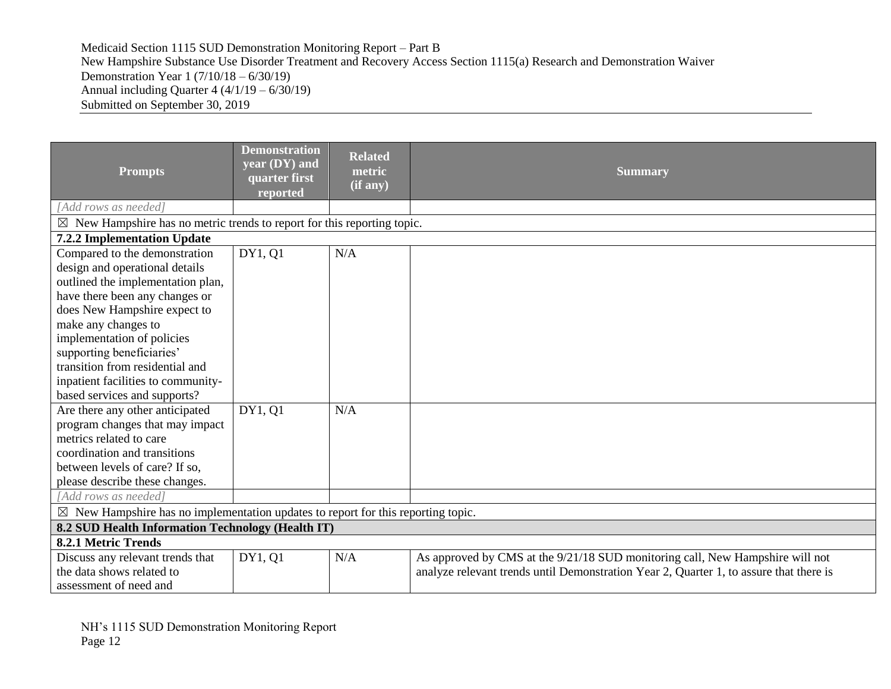| <b>Prompts</b>                                                                              | <b>Demonstration</b><br>year (DY) and<br>quarter first<br>reported | <b>Related</b><br>metric<br>(if any) | <b>Summary</b>                                                                         |  |
|---------------------------------------------------------------------------------------------|--------------------------------------------------------------------|--------------------------------------|----------------------------------------------------------------------------------------|--|
| [Add rows as needed]                                                                        |                                                                    |                                      |                                                                                        |  |
| $\boxtimes$ New Hampshire has no metric trends to report for this reporting topic.          |                                                                    |                                      |                                                                                        |  |
| 7.2.2 Implementation Update                                                                 |                                                                    |                                      |                                                                                        |  |
| Compared to the demonstration                                                               | DY1, Q1                                                            | N/A                                  |                                                                                        |  |
| design and operational details                                                              |                                                                    |                                      |                                                                                        |  |
| outlined the implementation plan,                                                           |                                                                    |                                      |                                                                                        |  |
| have there been any changes or                                                              |                                                                    |                                      |                                                                                        |  |
| does New Hampshire expect to                                                                |                                                                    |                                      |                                                                                        |  |
| make any changes to                                                                         |                                                                    |                                      |                                                                                        |  |
| implementation of policies                                                                  |                                                                    |                                      |                                                                                        |  |
| supporting beneficiaries'                                                                   |                                                                    |                                      |                                                                                        |  |
| transition from residential and                                                             |                                                                    |                                      |                                                                                        |  |
| inpatient facilities to community-                                                          |                                                                    |                                      |                                                                                        |  |
| based services and supports?                                                                |                                                                    |                                      |                                                                                        |  |
| Are there any other anticipated                                                             | DY1, 01                                                            | N/A                                  |                                                                                        |  |
| program changes that may impact                                                             |                                                                    |                                      |                                                                                        |  |
| metrics related to care                                                                     |                                                                    |                                      |                                                                                        |  |
| coordination and transitions                                                                |                                                                    |                                      |                                                                                        |  |
| between levels of care? If so,                                                              |                                                                    |                                      |                                                                                        |  |
| please describe these changes.                                                              |                                                                    |                                      |                                                                                        |  |
| [Add rows as needed]                                                                        |                                                                    |                                      |                                                                                        |  |
| $\boxtimes$ New Hampshire has no implementation updates to report for this reporting topic. |                                                                    |                                      |                                                                                        |  |
| 8.2 SUD Health Information Technology (Health IT)                                           |                                                                    |                                      |                                                                                        |  |
| 8.2.1 Metric Trends                                                                         |                                                                    |                                      |                                                                                        |  |
| Discuss any relevant trends that                                                            | DY1, 01                                                            | N/A                                  | As approved by CMS at the 9/21/18 SUD monitoring call, New Hampshire will not          |  |
| the data shows related to                                                                   |                                                                    |                                      | analyze relevant trends until Demonstration Year 2, Quarter 1, to assure that there is |  |
| assessment of need and                                                                      |                                                                    |                                      |                                                                                        |  |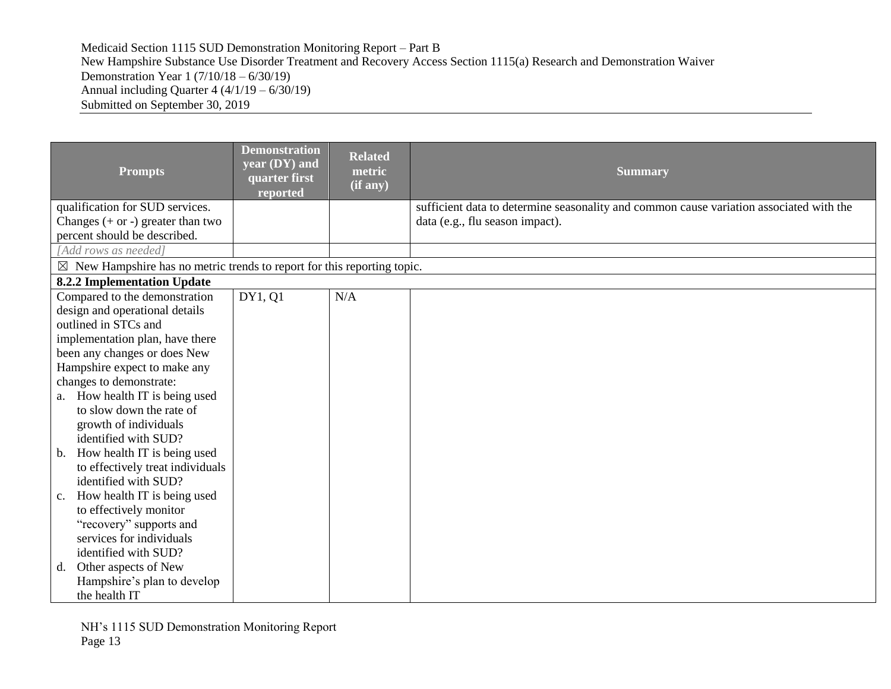| <b>Prompts</b><br>qualification for SUD services.<br>Changes $(+ or -)$ greater than two                          | <b>Demonstration</b><br>year (DY) and<br>quarter first<br>reported | <b>Related</b><br>metric<br>(if any) | <b>Summary</b><br>sufficient data to determine seasonality and common cause variation associated with the<br>data (e.g., flu season impact). |
|-------------------------------------------------------------------------------------------------------------------|--------------------------------------------------------------------|--------------------------------------|----------------------------------------------------------------------------------------------------------------------------------------------|
| percent should be described.                                                                                      |                                                                    |                                      |                                                                                                                                              |
| [Add rows as needed]                                                                                              |                                                                    |                                      |                                                                                                                                              |
| $\boxtimes$ New Hampshire has no metric trends to report for this reporting topic.<br>8.2.2 Implementation Update |                                                                    |                                      |                                                                                                                                              |
| Compared to the demonstration                                                                                     | DY1, Q1                                                            | N/A                                  |                                                                                                                                              |
| design and operational details                                                                                    |                                                                    |                                      |                                                                                                                                              |
| outlined in STCs and                                                                                              |                                                                    |                                      |                                                                                                                                              |
| implementation plan, have there                                                                                   |                                                                    |                                      |                                                                                                                                              |
| been any changes or does New                                                                                      |                                                                    |                                      |                                                                                                                                              |
| Hampshire expect to make any                                                                                      |                                                                    |                                      |                                                                                                                                              |
| changes to demonstrate:                                                                                           |                                                                    |                                      |                                                                                                                                              |
| a. How health IT is being used                                                                                    |                                                                    |                                      |                                                                                                                                              |
| to slow down the rate of                                                                                          |                                                                    |                                      |                                                                                                                                              |
| growth of individuals                                                                                             |                                                                    |                                      |                                                                                                                                              |
| identified with SUD?                                                                                              |                                                                    |                                      |                                                                                                                                              |
| b. How health IT is being used                                                                                    |                                                                    |                                      |                                                                                                                                              |
| to effectively treat individuals                                                                                  |                                                                    |                                      |                                                                                                                                              |
| identified with SUD?                                                                                              |                                                                    |                                      |                                                                                                                                              |
| How health IT is being used<br>c.                                                                                 |                                                                    |                                      |                                                                                                                                              |
| to effectively monitor                                                                                            |                                                                    |                                      |                                                                                                                                              |
| "recovery" supports and                                                                                           |                                                                    |                                      |                                                                                                                                              |
| services for individuals                                                                                          |                                                                    |                                      |                                                                                                                                              |
| identified with SUD?                                                                                              |                                                                    |                                      |                                                                                                                                              |
| d. Other aspects of New                                                                                           |                                                                    |                                      |                                                                                                                                              |
| Hampshire's plan to develop<br>the health IT                                                                      |                                                                    |                                      |                                                                                                                                              |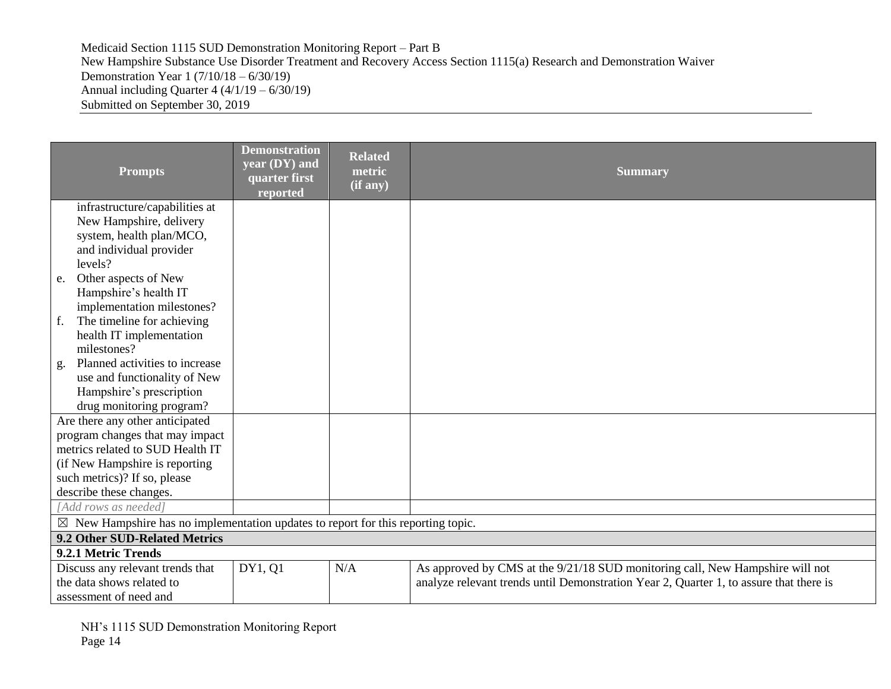| <b>Prompts</b>                                                                              | <b>Demonstration</b><br>year (DY) and<br>quarter first<br>reported | <b>Related</b><br>metric<br>(if any) | <b>Summary</b>                                                                         |  |
|---------------------------------------------------------------------------------------------|--------------------------------------------------------------------|--------------------------------------|----------------------------------------------------------------------------------------|--|
| infrastructure/capabilities at                                                              |                                                                    |                                      |                                                                                        |  |
| New Hampshire, delivery                                                                     |                                                                    |                                      |                                                                                        |  |
| system, health plan/MCO,                                                                    |                                                                    |                                      |                                                                                        |  |
| and individual provider                                                                     |                                                                    |                                      |                                                                                        |  |
| levels?                                                                                     |                                                                    |                                      |                                                                                        |  |
| Other aspects of New<br>e.                                                                  |                                                                    |                                      |                                                                                        |  |
| Hampshire's health IT                                                                       |                                                                    |                                      |                                                                                        |  |
| implementation milestones?                                                                  |                                                                    |                                      |                                                                                        |  |
| The timeline for achieving<br>f.                                                            |                                                                    |                                      |                                                                                        |  |
| health IT implementation                                                                    |                                                                    |                                      |                                                                                        |  |
| milestones?                                                                                 |                                                                    |                                      |                                                                                        |  |
| Planned activities to increase<br>g.                                                        |                                                                    |                                      |                                                                                        |  |
| use and functionality of New                                                                |                                                                    |                                      |                                                                                        |  |
| Hampshire's prescription                                                                    |                                                                    |                                      |                                                                                        |  |
| drug monitoring program?                                                                    |                                                                    |                                      |                                                                                        |  |
| Are there any other anticipated                                                             |                                                                    |                                      |                                                                                        |  |
| program changes that may impact                                                             |                                                                    |                                      |                                                                                        |  |
| metrics related to SUD Health IT                                                            |                                                                    |                                      |                                                                                        |  |
| (if New Hampshire is reporting                                                              |                                                                    |                                      |                                                                                        |  |
| such metrics)? If so, please                                                                |                                                                    |                                      |                                                                                        |  |
| describe these changes.                                                                     |                                                                    |                                      |                                                                                        |  |
| [Add rows as needed]                                                                        |                                                                    |                                      |                                                                                        |  |
| $\boxtimes$ New Hampshire has no implementation updates to report for this reporting topic. |                                                                    |                                      |                                                                                        |  |
| 9.2 Other SUD-Related Metrics                                                               |                                                                    |                                      |                                                                                        |  |
| 9.2.1 Metric Trends                                                                         |                                                                    |                                      |                                                                                        |  |
| Discuss any relevant trends that                                                            | DY1, Q1                                                            | N/A                                  | As approved by CMS at the 9/21/18 SUD monitoring call, New Hampshire will not          |  |
| the data shows related to                                                                   |                                                                    |                                      | analyze relevant trends until Demonstration Year 2, Quarter 1, to assure that there is |  |
| assessment of need and                                                                      |                                                                    |                                      |                                                                                        |  |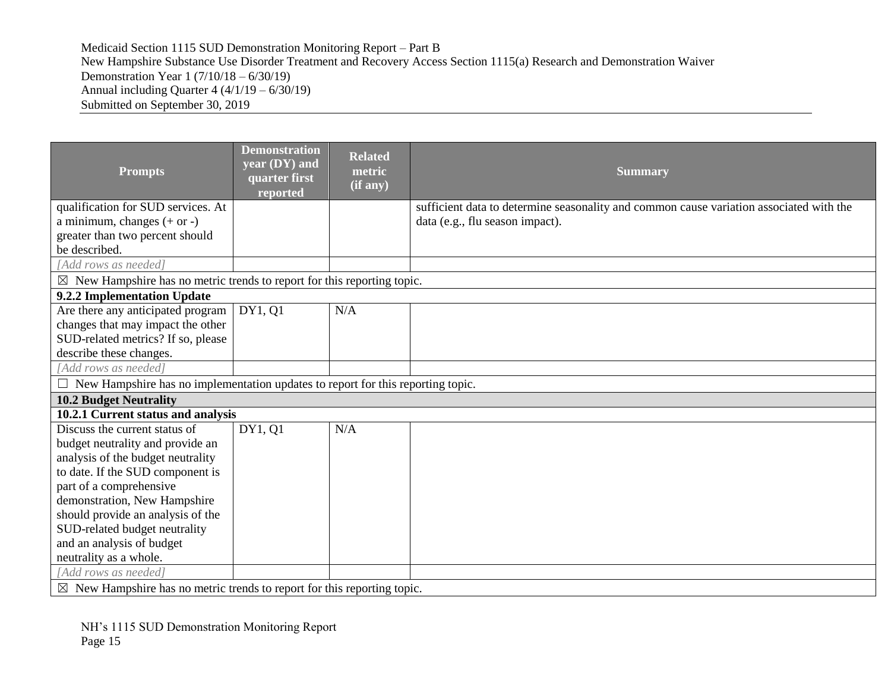| <b>Prompts</b>                                                                         | <b>Demonstration</b><br>year (DY) and<br>quarter first<br>reported | <b>Related</b><br>metric<br>$(i\mathbf{f}$ any) | <b>Summary</b>                                                                          |  |
|----------------------------------------------------------------------------------------|--------------------------------------------------------------------|-------------------------------------------------|-----------------------------------------------------------------------------------------|--|
| qualification for SUD services. At                                                     |                                                                    |                                                 | sufficient data to determine seasonality and common cause variation associated with the |  |
| a minimum, changes $(+ or -)$                                                          |                                                                    |                                                 | data (e.g., flu season impact).                                                         |  |
| greater than two percent should                                                        |                                                                    |                                                 |                                                                                         |  |
| be described.                                                                          |                                                                    |                                                 |                                                                                         |  |
| [Add rows as needed]                                                                   |                                                                    |                                                 |                                                                                         |  |
| $\boxtimes$ New Hampshire has no metric trends to report for this reporting topic.     |                                                                    |                                                 |                                                                                         |  |
| 9.2.2 Implementation Update                                                            |                                                                    |                                                 |                                                                                         |  |
| Are there any anticipated program                                                      | DY1, Q1                                                            | N/A                                             |                                                                                         |  |
| changes that may impact the other                                                      |                                                                    |                                                 |                                                                                         |  |
| SUD-related metrics? If so, please                                                     |                                                                    |                                                 |                                                                                         |  |
| describe these changes.                                                                |                                                                    |                                                 |                                                                                         |  |
| [Add rows as needed]                                                                   |                                                                    |                                                 |                                                                                         |  |
| $\Box$ New Hampshire has no implementation updates to report for this reporting topic. |                                                                    |                                                 |                                                                                         |  |
| <b>10.2 Budget Neutrality</b>                                                          |                                                                    |                                                 |                                                                                         |  |
| 10.2.1 Current status and analysis                                                     |                                                                    |                                                 |                                                                                         |  |
| Discuss the current status of                                                          | DY1, Q1                                                            | N/A                                             |                                                                                         |  |
| budget neutrality and provide an                                                       |                                                                    |                                                 |                                                                                         |  |
| analysis of the budget neutrality                                                      |                                                                    |                                                 |                                                                                         |  |
| to date. If the SUD component is                                                       |                                                                    |                                                 |                                                                                         |  |
| part of a comprehensive                                                                |                                                                    |                                                 |                                                                                         |  |
| demonstration, New Hampshire                                                           |                                                                    |                                                 |                                                                                         |  |
| should provide an analysis of the                                                      |                                                                    |                                                 |                                                                                         |  |
| SUD-related budget neutrality                                                          |                                                                    |                                                 |                                                                                         |  |
| and an analysis of budget                                                              |                                                                    |                                                 |                                                                                         |  |
| neutrality as a whole.                                                                 |                                                                    |                                                 |                                                                                         |  |
| Add rows as needed]                                                                    |                                                                    |                                                 |                                                                                         |  |
| $\boxtimes$ New Hampshire has no metric trends to report for this reporting topic.     |                                                                    |                                                 |                                                                                         |  |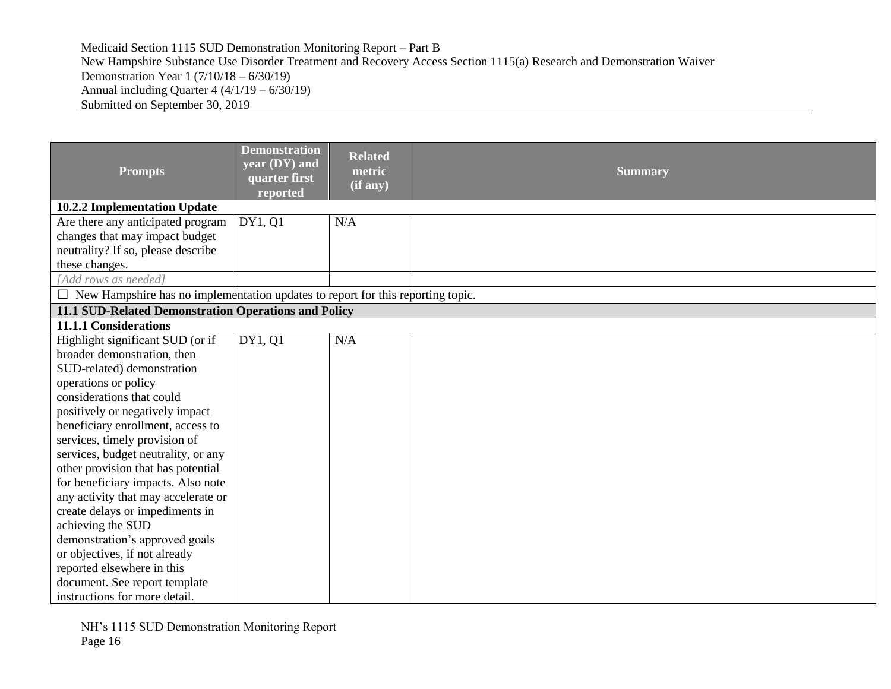| <b>Prompts</b>                                                                         | <b>Demonstration</b><br>$\sqrt{year(DY)}$ and<br>quarter first<br>reported | <b>Related</b><br>metric<br>(if any) | <b>Summary</b> |
|----------------------------------------------------------------------------------------|----------------------------------------------------------------------------|--------------------------------------|----------------|
| 10.2.2 Implementation Update                                                           |                                                                            |                                      |                |
| Are there any anticipated program                                                      | DY1, Q1                                                                    | N/A                                  |                |
| changes that may impact budget                                                         |                                                                            |                                      |                |
| neutrality? If so, please describe                                                     |                                                                            |                                      |                |
| these changes.                                                                         |                                                                            |                                      |                |
| [Add rows as needed]                                                                   |                                                                            |                                      |                |
| $\Box$ New Hampshire has no implementation updates to report for this reporting topic. |                                                                            |                                      |                |
| 11.1 SUD-Related Demonstration Operations and Policy                                   |                                                                            |                                      |                |
| <b>11.1.1 Considerations</b>                                                           |                                                                            |                                      |                |
| Highlight significant SUD (or if                                                       | DY1, 01                                                                    | N/A                                  |                |
| broader demonstration, then                                                            |                                                                            |                                      |                |
| SUD-related) demonstration                                                             |                                                                            |                                      |                |
| operations or policy                                                                   |                                                                            |                                      |                |
| considerations that could                                                              |                                                                            |                                      |                |
| positively or negatively impact                                                        |                                                                            |                                      |                |
| beneficiary enrollment, access to                                                      |                                                                            |                                      |                |
| services, timely provision of                                                          |                                                                            |                                      |                |
| services, budget neutrality, or any                                                    |                                                                            |                                      |                |
| other provision that has potential                                                     |                                                                            |                                      |                |
| for beneficiary impacts. Also note                                                     |                                                                            |                                      |                |
| any activity that may accelerate or                                                    |                                                                            |                                      |                |
| create delays or impediments in                                                        |                                                                            |                                      |                |
| achieving the SUD                                                                      |                                                                            |                                      |                |
| demonstration's approved goals                                                         |                                                                            |                                      |                |
| or objectives, if not already                                                          |                                                                            |                                      |                |
| reported elsewhere in this                                                             |                                                                            |                                      |                |
| document. See report template                                                          |                                                                            |                                      |                |
| instructions for more detail.                                                          |                                                                            |                                      |                |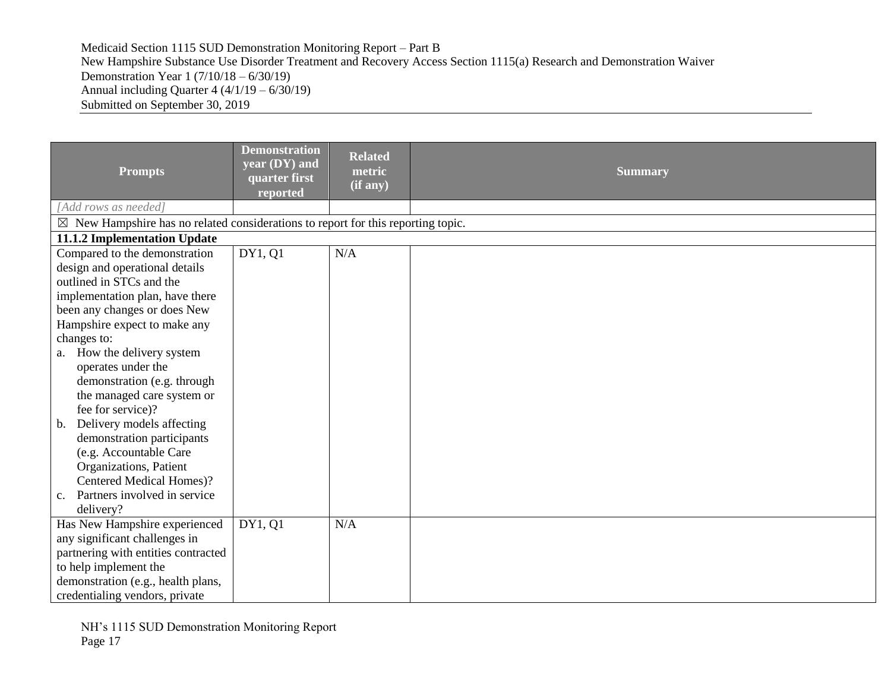| <b>Prompts</b>                                                                              | <b>Demonstration</b><br>year (DY) and<br>quarter first<br>reported | <b>Related</b><br>metric<br>(if any) | <b>Summary</b> |
|---------------------------------------------------------------------------------------------|--------------------------------------------------------------------|--------------------------------------|----------------|
| [Add rows as needed]                                                                        |                                                                    |                                      |                |
| $\boxtimes$ New Hampshire has no related considerations to report for this reporting topic. |                                                                    |                                      |                |
| 11.1.2 Implementation Update                                                                |                                                                    |                                      |                |
| Compared to the demonstration                                                               | DY1, Q1                                                            | N/A                                  |                |
| design and operational details                                                              |                                                                    |                                      |                |
| outlined in STCs and the                                                                    |                                                                    |                                      |                |
| implementation plan, have there                                                             |                                                                    |                                      |                |
| been any changes or does New                                                                |                                                                    |                                      |                |
| Hampshire expect to make any                                                                |                                                                    |                                      |                |
| changes to:                                                                                 |                                                                    |                                      |                |
| a. How the delivery system                                                                  |                                                                    |                                      |                |
| operates under the                                                                          |                                                                    |                                      |                |
| demonstration (e.g. through                                                                 |                                                                    |                                      |                |
| the managed care system or                                                                  |                                                                    |                                      |                |
| fee for service)?                                                                           |                                                                    |                                      |                |
| Delivery models affecting<br>b.                                                             |                                                                    |                                      |                |
| demonstration participants                                                                  |                                                                    |                                      |                |
| (e.g. Accountable Care                                                                      |                                                                    |                                      |                |
| Organizations, Patient                                                                      |                                                                    |                                      |                |
| Centered Medical Homes)?                                                                    |                                                                    |                                      |                |
| Partners involved in service<br>$c_{\cdot}$                                                 |                                                                    |                                      |                |
| delivery?                                                                                   |                                                                    |                                      |                |
| Has New Hampshire experienced                                                               | DY1, Q1                                                            | N/A                                  |                |
| any significant challenges in                                                               |                                                                    |                                      |                |
| partnering with entities contracted                                                         |                                                                    |                                      |                |
| to help implement the                                                                       |                                                                    |                                      |                |
| demonstration (e.g., health plans,                                                          |                                                                    |                                      |                |
| credentialing vendors, private                                                              |                                                                    |                                      |                |

NH's 1115 SUD Demonstration Monitoring Report Page 17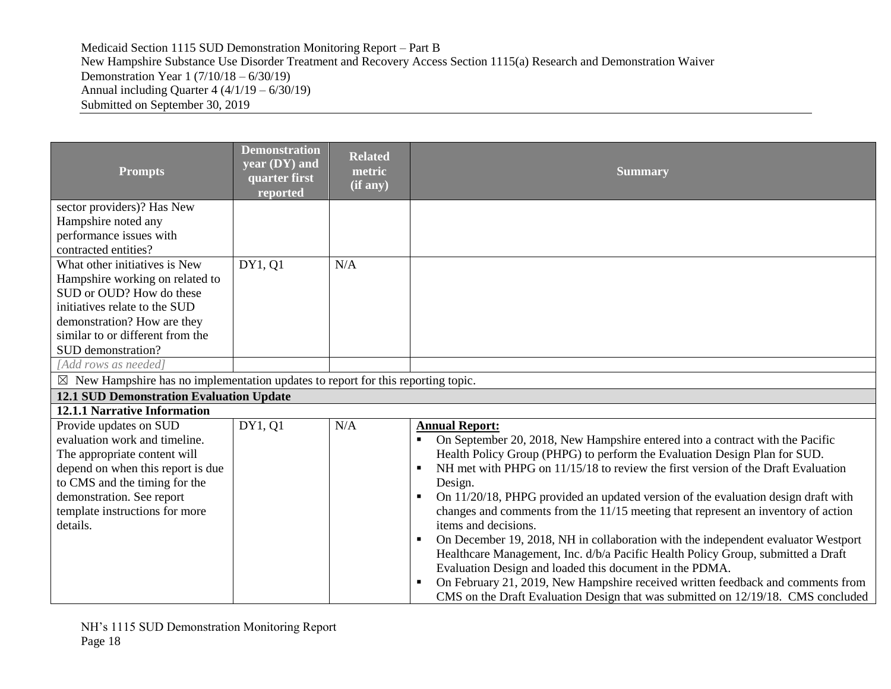| <b>Prompts</b>                                                                              | <b>Demonstration</b><br>year (DY) and<br>quarter first<br>reported | <b>Related</b><br>metric<br>(if any) | <b>Summary</b>                                                                                                                                                         |
|---------------------------------------------------------------------------------------------|--------------------------------------------------------------------|--------------------------------------|------------------------------------------------------------------------------------------------------------------------------------------------------------------------|
| sector providers)? Has New                                                                  |                                                                    |                                      |                                                                                                                                                                        |
| Hampshire noted any                                                                         |                                                                    |                                      |                                                                                                                                                                        |
| performance issues with                                                                     |                                                                    |                                      |                                                                                                                                                                        |
| contracted entities?<br>What other initiatives is New                                       |                                                                    | N/A                                  |                                                                                                                                                                        |
| Hampshire working on related to                                                             | DY1, Q1                                                            |                                      |                                                                                                                                                                        |
| SUD or OUD? How do these                                                                    |                                                                    |                                      |                                                                                                                                                                        |
| initiatives relate to the SUD                                                               |                                                                    |                                      |                                                                                                                                                                        |
| demonstration? How are they                                                                 |                                                                    |                                      |                                                                                                                                                                        |
| similar to or different from the                                                            |                                                                    |                                      |                                                                                                                                                                        |
| SUD demonstration?                                                                          |                                                                    |                                      |                                                                                                                                                                        |
| [Add rows as needed]                                                                        |                                                                    |                                      |                                                                                                                                                                        |
| $\boxtimes$ New Hampshire has no implementation updates to report for this reporting topic. |                                                                    |                                      |                                                                                                                                                                        |
| <b>12.1 SUD Demonstration Evaluation Update</b>                                             |                                                                    |                                      |                                                                                                                                                                        |
| <b>12.1.1 Narrative Information</b>                                                         |                                                                    |                                      |                                                                                                                                                                        |
| Provide updates on SUD                                                                      | DY1, Q1                                                            | N/A                                  | <b>Annual Report:</b>                                                                                                                                                  |
| evaluation work and timeline.                                                               |                                                                    |                                      | On September 20, 2018, New Hampshire entered into a contract with the Pacific                                                                                          |
| The appropriate content will                                                                |                                                                    |                                      | Health Policy Group (PHPG) to perform the Evaluation Design Plan for SUD.                                                                                              |
| depend on when this report is due                                                           |                                                                    |                                      | NH met with PHPG on 11/15/18 to review the first version of the Draft Evaluation                                                                                       |
| to CMS and the timing for the<br>demonstration. See report                                  |                                                                    |                                      | Design.<br>$\blacksquare$                                                                                                                                              |
| template instructions for more                                                              |                                                                    |                                      | On 11/20/18, PHPG provided an updated version of the evaluation design draft with<br>changes and comments from the 11/15 meeting that represent an inventory of action |
| details.                                                                                    |                                                                    |                                      | items and decisions.                                                                                                                                                   |
|                                                                                             |                                                                    |                                      | On December 19, 2018, NH in collaboration with the independent evaluator Westport<br>$\blacksquare$                                                                    |
|                                                                                             |                                                                    |                                      | Healthcare Management, Inc. d/b/a Pacific Health Policy Group, submitted a Draft                                                                                       |
|                                                                                             |                                                                    |                                      | Evaluation Design and loaded this document in the PDMA.                                                                                                                |
|                                                                                             |                                                                    |                                      | On February 21, 2019, New Hampshire received written feedback and comments from                                                                                        |
|                                                                                             |                                                                    |                                      | CMS on the Draft Evaluation Design that was submitted on 12/19/18. CMS concluded                                                                                       |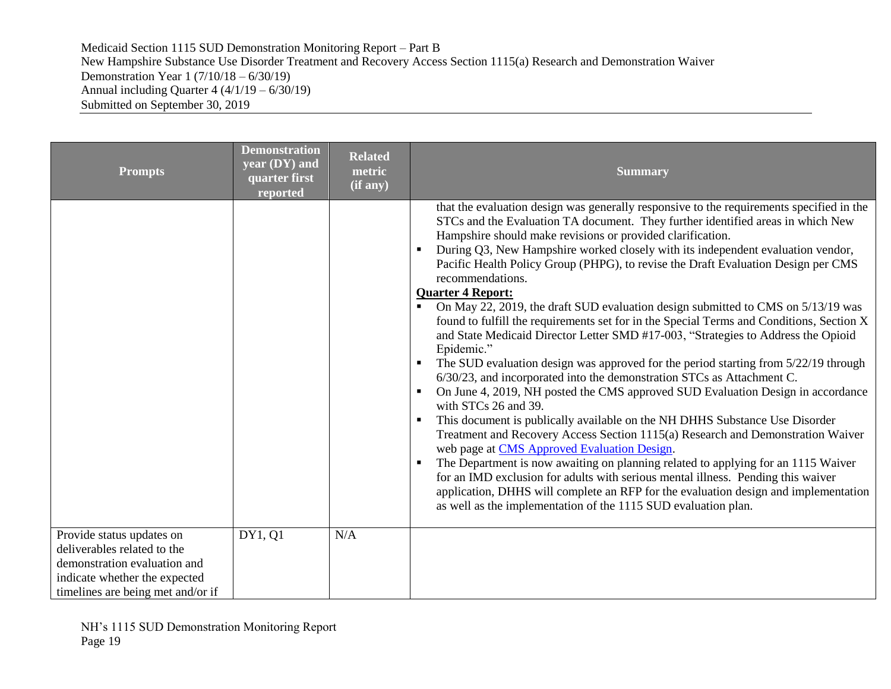| <b>Prompts</b>                                                                                                                                                 | <b>Demonstration</b><br>year (DY) and<br>quarter first<br>reported | <b>Related</b><br>metric<br>$(i\overline{f}$ any) | <b>Summary</b>                                                                                                                                                                                                                                                                                                                                                                                                                                                                                                                                                                                                                                                                                                                                                                                                                                                                                                                                                                                                                                                                                                                                                                                                                                                                                                                                                                                                                                                                                                                                                                                                          |
|----------------------------------------------------------------------------------------------------------------------------------------------------------------|--------------------------------------------------------------------|---------------------------------------------------|-------------------------------------------------------------------------------------------------------------------------------------------------------------------------------------------------------------------------------------------------------------------------------------------------------------------------------------------------------------------------------------------------------------------------------------------------------------------------------------------------------------------------------------------------------------------------------------------------------------------------------------------------------------------------------------------------------------------------------------------------------------------------------------------------------------------------------------------------------------------------------------------------------------------------------------------------------------------------------------------------------------------------------------------------------------------------------------------------------------------------------------------------------------------------------------------------------------------------------------------------------------------------------------------------------------------------------------------------------------------------------------------------------------------------------------------------------------------------------------------------------------------------------------------------------------------------------------------------------------------------|
|                                                                                                                                                                |                                                                    |                                                   | that the evaluation design was generally responsive to the requirements specified in the<br>STCs and the Evaluation TA document. They further identified areas in which New<br>Hampshire should make revisions or provided clarification.<br>During Q3, New Hampshire worked closely with its independent evaluation vendor,<br>$\blacksquare$<br>Pacific Health Policy Group (PHPG), to revise the Draft Evaluation Design per CMS<br>recommendations.<br><b>Quarter 4 Report:</b><br>On May 22, 2019, the draft SUD evaluation design submitted to CMS on 5/13/19 was<br>found to fulfill the requirements set for in the Special Terms and Conditions, Section X<br>and State Medicaid Director Letter SMD #17-003, "Strategies to Address the Opioid<br>Epidemic."<br>The SUD evaluation design was approved for the period starting from 5/22/19 through<br>6/30/23, and incorporated into the demonstration STCs as Attachment C.<br>On June 4, 2019, NH posted the CMS approved SUD Evaluation Design in accordance<br>$\blacksquare$<br>with STCs 26 and 39.<br>This document is publically available on the NH DHHS Substance Use Disorder<br>Treatment and Recovery Access Section 1115(a) Research and Demonstration Waiver<br>web page at CMS Approved Evaluation Design.<br>The Department is now awaiting on planning related to applying for an 1115 Waiver<br>for an IMD exclusion for adults with serious mental illness. Pending this waiver<br>application, DHHS will complete an RFP for the evaluation design and implementation<br>as well as the implementation of the 1115 SUD evaluation plan. |
| Provide status updates on<br>deliverables related to the<br>demonstration evaluation and<br>indicate whether the expected<br>timelines are being met and/or if | DY1, Q1                                                            | N/A                                               |                                                                                                                                                                                                                                                                                                                                                                                                                                                                                                                                                                                                                                                                                                                                                                                                                                                                                                                                                                                                                                                                                                                                                                                                                                                                                                                                                                                                                                                                                                                                                                                                                         |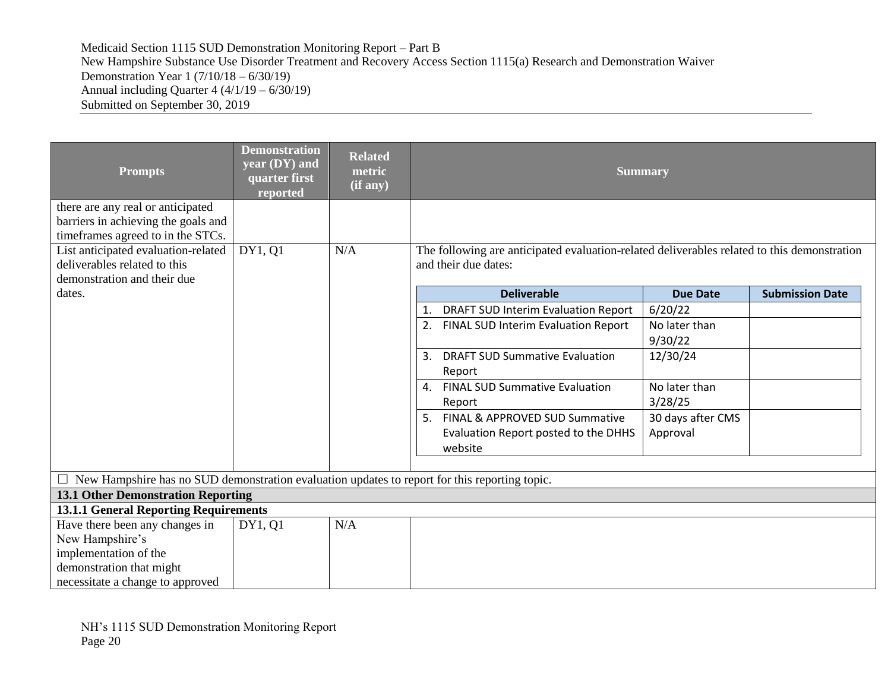| <b>Prompts</b>                                                                                                | <b>Demonstration</b><br>year (DY) and<br>quarter first<br>reported | <b>Related</b><br>metric<br>(if any) |                                                                                                                     | <b>Summary</b>    |                        |
|---------------------------------------------------------------------------------------------------------------|--------------------------------------------------------------------|--------------------------------------|---------------------------------------------------------------------------------------------------------------------|-------------------|------------------------|
| there are any real or anticipated<br>barriers in achieving the goals and<br>timeframes agreed to in the STCs. |                                                                    |                                      |                                                                                                                     |                   |                        |
| List anticipated evaluation-related<br>deliverables related to this<br>demonstration and their due            | DY1, Q1                                                            | N/A                                  | The following are anticipated evaluation-related deliverables related to this demonstration<br>and their due dates: |                   |                        |
| dates.                                                                                                        |                                                                    |                                      | <b>Deliverable</b>                                                                                                  | <b>Due Date</b>   | <b>Submission Date</b> |
|                                                                                                               |                                                                    |                                      | DRAFT SUD Interim Evaluation Report<br>1.                                                                           | 6/20/22           |                        |
|                                                                                                               |                                                                    |                                      | FINAL SUD Interim Evaluation Report<br>2.                                                                           | No later than     |                        |
|                                                                                                               |                                                                    |                                      |                                                                                                                     | 9/30/22           |                        |
|                                                                                                               |                                                                    |                                      | <b>DRAFT SUD Summative Evaluation</b><br>3.                                                                         | 12/30/24          |                        |
|                                                                                                               |                                                                    |                                      | Report                                                                                                              |                   |                        |
|                                                                                                               |                                                                    |                                      | <b>FINAL SUD Summative Evaluation</b><br>4.                                                                         | No later than     |                        |
|                                                                                                               |                                                                    |                                      | Report                                                                                                              | 3/28/25           |                        |
|                                                                                                               |                                                                    |                                      | FINAL & APPROVED SUD Summative<br>5.                                                                                | 30 days after CMS |                        |
|                                                                                                               |                                                                    |                                      | Evaluation Report posted to the DHHS                                                                                | Approval          |                        |
|                                                                                                               |                                                                    |                                      | website                                                                                                             |                   |                        |
|                                                                                                               |                                                                    |                                      |                                                                                                                     |                   |                        |
| $\Box$ New Hampshire has no SUD demonstration evaluation updates to report for this reporting topic.          |                                                                    |                                      |                                                                                                                     |                   |                        |
| <b>13.1 Other Demonstration Reporting</b>                                                                     |                                                                    |                                      |                                                                                                                     |                   |                        |
| <b>13.1.1 General Reporting Requirements</b>                                                                  |                                                                    |                                      |                                                                                                                     |                   |                        |
| Have there been any changes in                                                                                | DY1, 01                                                            | N/A                                  |                                                                                                                     |                   |                        |
| New Hampshire's                                                                                               |                                                                    |                                      |                                                                                                                     |                   |                        |
| implementation of the                                                                                         |                                                                    |                                      |                                                                                                                     |                   |                        |
| demonstration that might                                                                                      |                                                                    |                                      |                                                                                                                     |                   |                        |
| necessitate a change to approved                                                                              |                                                                    |                                      |                                                                                                                     |                   |                        |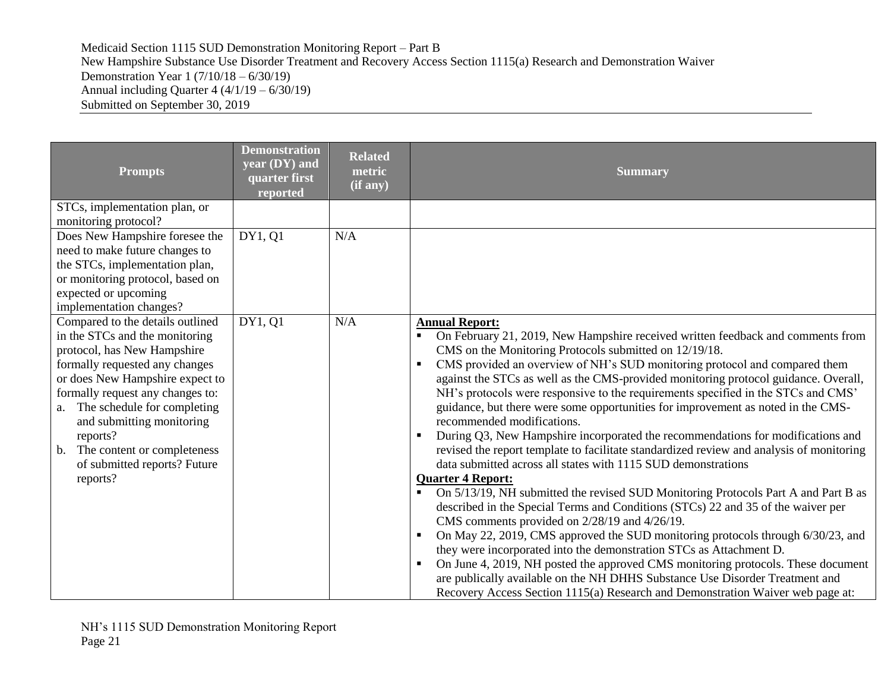| <b>Prompts</b>                                                                                                                                                                                                                                                                                                                                                                     | <b>Demonstration</b><br>year (DY) and<br>quarter first<br>reported | <b>Related</b><br>metric<br>(if any) | <b>Summary</b>                                                                                                                                                                                                                                                                                                                                                                                                                                                                                                                                                                                                                                                                                                                                                                                                                                                                                                                                                                                                                                                                                                                                                                                                                                                                                                                                                                                                                                                                               |
|------------------------------------------------------------------------------------------------------------------------------------------------------------------------------------------------------------------------------------------------------------------------------------------------------------------------------------------------------------------------------------|--------------------------------------------------------------------|--------------------------------------|----------------------------------------------------------------------------------------------------------------------------------------------------------------------------------------------------------------------------------------------------------------------------------------------------------------------------------------------------------------------------------------------------------------------------------------------------------------------------------------------------------------------------------------------------------------------------------------------------------------------------------------------------------------------------------------------------------------------------------------------------------------------------------------------------------------------------------------------------------------------------------------------------------------------------------------------------------------------------------------------------------------------------------------------------------------------------------------------------------------------------------------------------------------------------------------------------------------------------------------------------------------------------------------------------------------------------------------------------------------------------------------------------------------------------------------------------------------------------------------------|
| STCs, implementation plan, or<br>monitoring protocol?                                                                                                                                                                                                                                                                                                                              |                                                                    |                                      |                                                                                                                                                                                                                                                                                                                                                                                                                                                                                                                                                                                                                                                                                                                                                                                                                                                                                                                                                                                                                                                                                                                                                                                                                                                                                                                                                                                                                                                                                              |
| Does New Hampshire foresee the<br>need to make future changes to<br>the STCs, implementation plan,<br>or monitoring protocol, based on<br>expected or upcoming<br>implementation changes?                                                                                                                                                                                          | DY1, Q1                                                            | N/A                                  |                                                                                                                                                                                                                                                                                                                                                                                                                                                                                                                                                                                                                                                                                                                                                                                                                                                                                                                                                                                                                                                                                                                                                                                                                                                                                                                                                                                                                                                                                              |
| Compared to the details outlined<br>in the STCs and the monitoring<br>protocol, has New Hampshire<br>formally requested any changes<br>or does New Hampshire expect to<br>formally request any changes to:<br>a. The schedule for completing<br>and submitting monitoring<br>reports?<br>The content or completeness<br>$\mathbf{b}$ .<br>of submitted reports? Future<br>reports? | DY1, 01                                                            | N/A                                  | <b>Annual Report:</b><br>On February 21, 2019, New Hampshire received written feedback and comments from<br>CMS on the Monitoring Protocols submitted on 12/19/18.<br>CMS provided an overview of NH's SUD monitoring protocol and compared them<br>$\blacksquare$<br>against the STCs as well as the CMS-provided monitoring protocol guidance. Overall,<br>NH's protocols were responsive to the requirements specified in the STCs and CMS'<br>guidance, but there were some opportunities for improvement as noted in the CMS-<br>recommended modifications.<br>During Q3, New Hampshire incorporated the recommendations for modifications and<br>revised the report template to facilitate standardized review and analysis of monitoring<br>data submitted across all states with 1115 SUD demonstrations<br><b>Quarter 4 Report:</b><br>On 5/13/19, NH submitted the revised SUD Monitoring Protocols Part A and Part B as<br>described in the Special Terms and Conditions (STCs) 22 and 35 of the waiver per<br>CMS comments provided on 2/28/19 and 4/26/19.<br>On May 22, 2019, CMS approved the SUD monitoring protocols through 6/30/23, and<br>٠<br>they were incorporated into the demonstration STCs as Attachment D.<br>On June 4, 2019, NH posted the approved CMS monitoring protocols. These document<br>are publically available on the NH DHHS Substance Use Disorder Treatment and<br>Recovery Access Section 1115(a) Research and Demonstration Waiver web page at: |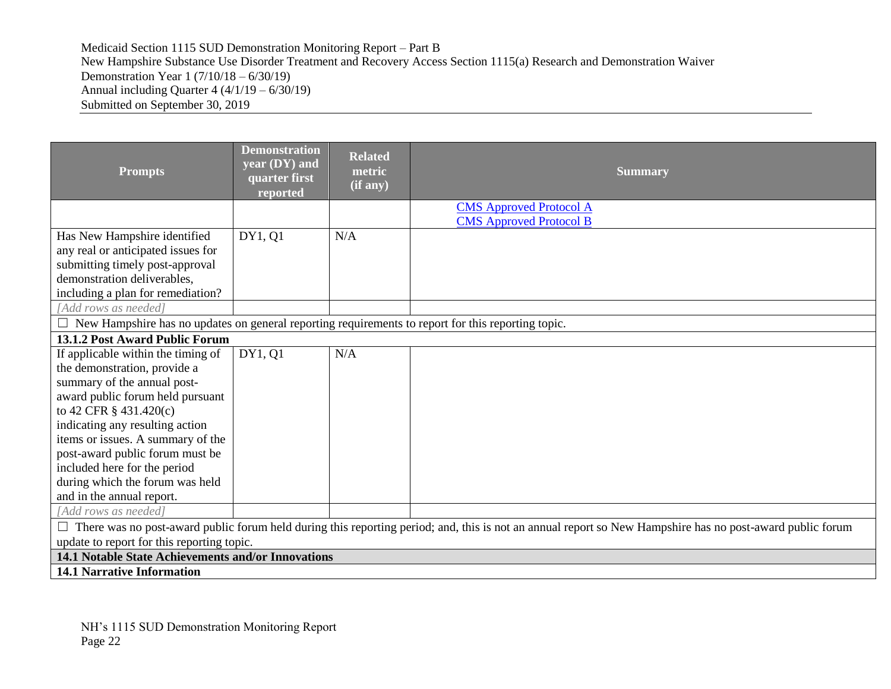| <b>Prompts</b>                                                                                                                                                                                                                                                                                                                                                                                     | <b>Demonstration</b><br>year (DY) and<br>quarter first<br>reported | <b>Related</b><br>metric<br>(if any) | <b>Summary</b>                                                   |  |  |
|----------------------------------------------------------------------------------------------------------------------------------------------------------------------------------------------------------------------------------------------------------------------------------------------------------------------------------------------------------------------------------------------------|--------------------------------------------------------------------|--------------------------------------|------------------------------------------------------------------|--|--|
|                                                                                                                                                                                                                                                                                                                                                                                                    |                                                                    |                                      | <b>CMS</b> Approved Protocol A<br><b>CMS</b> Approved Protocol B |  |  |
| Has New Hampshire identified<br>any real or anticipated issues for<br>submitting timely post-approval<br>demonstration deliverables,<br>including a plan for remediation?                                                                                                                                                                                                                          | DY1, Q1                                                            | N/A                                  |                                                                  |  |  |
| [Add rows as needed]                                                                                                                                                                                                                                                                                                                                                                               |                                                                    |                                      |                                                                  |  |  |
| $\Box$ New Hampshire has no updates on general reporting requirements to report for this reporting topic.                                                                                                                                                                                                                                                                                          |                                                                    |                                      |                                                                  |  |  |
| <b>13.1.2 Post Award Public Forum</b>                                                                                                                                                                                                                                                                                                                                                              |                                                                    |                                      |                                                                  |  |  |
| If applicable within the timing of<br>the demonstration, provide a<br>summary of the annual post-<br>award public forum held pursuant<br>to 42 CFR § 431.420(c)<br>indicating any resulting action<br>items or issues. A summary of the<br>post-award public forum must be<br>included here for the period<br>during which the forum was held<br>and in the annual report.<br>[Add rows as needed] | DY1, Q1                                                            | N/A                                  |                                                                  |  |  |
|                                                                                                                                                                                                                                                                                                                                                                                                    |                                                                    |                                      |                                                                  |  |  |
| There was no post-award public forum held during this reporting period; and, this is not an annual report so New Hampshire has no post-award public forum<br>update to report for this reporting topic.                                                                                                                                                                                            |                                                                    |                                      |                                                                  |  |  |
| 14.1 Notable State Achievements and/or Innovations                                                                                                                                                                                                                                                                                                                                                 |                                                                    |                                      |                                                                  |  |  |
| <b>14.1 Narrative Information</b>                                                                                                                                                                                                                                                                                                                                                                  |                                                                    |                                      |                                                                  |  |  |